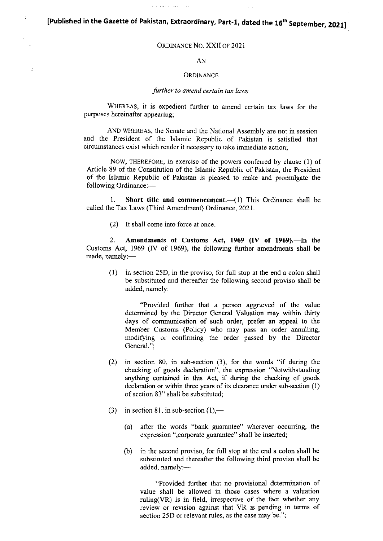[Published in the Gazette of Pakistan, Extraordinary, Part-1, dated the 16<sup>th</sup> September, 2021]

 $\mathcal{L}$  . The second state of  $\mathcal{L}$ 

## ORDniANcE No. XXII oF 2021

## AN

### **ORDINANCE**

### further to amend certain tax laws

WHEREAS, it is expedient further to amend certain tax laws for the purposes hereinafter appearing;

AND WHEREAS, the Senate and the National Assembly are not in session and the President of the Islamic Republic of Pakistan is satisfied that circumstances exist which render it necessary to take immediate action;

NOW, THEREFORE, in exercise of the powers conferred by clause (1) of Article 89 of the Constitution of the Islamic Republic of Pakistan, the President of the Islamic Republic of Pakistan is pleased to make and promulgate the following Ordinance:-

1. Short title and commencement. $-(1)$  This Ordinance shall be called the Tax Laws (Third Amendment) Ordinance, 2021.

(2) It shall come into force at once

2. Amendments of Customs Act, 1969 (IV of 1969).-In the Customs Act, 1969 (fV of 1969), the following further amendments shall be made, namely:-

(l) in section 25D, in the proviso, for full stop at the end a colon shall be substituted and thereafter the following second proviso shall be added, namely:

"Provided further that a person aggrieved of the value determined by the Director General Valuation may within thirty days of communication of such order, prefer an appeal to the Member Customs (Policy) who may pass an order annulling, modifying or confirming the order passed by the Director General.";

- (2) in section 80, in sub-section (3), for the words "if during the checking of goods declaration", the expression "Notwithstanding anything contained in this Act, if during the checking of goods declaration or within three years of its clearance under sub-section (1) of section 83" shall be substituted;
- (3) in section 81, in sub-section  $(1)$ ,—
	- (a) after the words "bank guarantee" wherever occurring, the expression ", corporate guarantee" shall be inserted;
	- (b) in the second proviso, for full stop at the end a colon shall be substituted and thereafter the following third proviso shall be added, namely:-

"Provided further that no provisional determination of value shall be allowed in those cases where a valuation ruling(VR) is in field, irrespective of the fact whether any review or revision against that VR is pending in terms of section 25D or relevant rules, as the case may be.";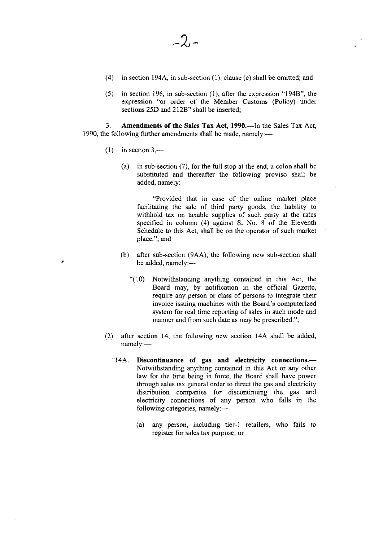- (4) in section 194A, in sub-section (l), clause (e) shall be omitted; and
- (5) in section 196, in sub-section (l), after the expression "194B", the expression "or order of the Member Customs (Policy) under sections 25D and 212B" shall be inserted;

3. Amendments of the Sales Tax Act, 1990.—In the Sales Tax Act, 1990, the following further amendments shall be made, namely:—

- $(1)$  in section 3,—
	- (a) in sub-section  $(7)$ , for the full stop at the end, a colon shall be substituted and thereafter the following proviso shall be added, namely:-

"Provided that in case of the online market place facilitating the sale of third party goods, the liability to withhold tax on taxable supplies of such pany at the rates specified in column (4) against S. No. 8 of the Eleventh Schedule to this Act, shall be on the operator of such market place."; and

- (b) after sub-section (9AA), the following new sub-section shall be added, namely:-
	- "(10) Notwithstanding anything contained in this Act, the Board may, by notification in the official Gazette, require any person or class of persons to integrate their invoice issuing machines with the Board's computerized system for real time reporting of sales in such mode and manner and from such date as may be prescribed.";
- (2) after section 14, the following new section l4A shall be added, namely:-
	- "14A. Discontinuance of gas and electricity connections.-Notwithstanding anything contained in this Act or any other law for the time being in force, the Board shall have power through sales tax gcnera) order to direct the gas and electricity distribution companies for discontinuing the gas and electricity connections of any person who falls in the following categories, namely:-
		- (a) any person, including tier-1 retailers, who fails to register for sales tax purpose; or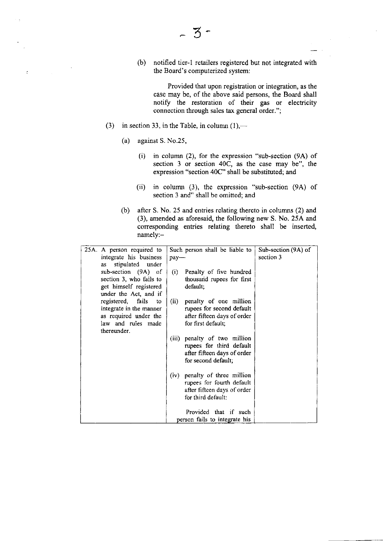(b) notihed tier-l retailers registered but not integrated with the Board's computerized system:

Provided that upon registration or integration, as the case may be, of the above said persons, the Board shall notiff the restoration of their gas or electricity connection through sales tax general order.";

- (3) in section 33, in the Table, in column  $(1)$ ,—
	- (a) against S. No.25,
		- (i) in column (2), for the expression "sub-section (9A) of section  $3$  or section  $40\overline{C}$ , as the case may be", the expression "section 40C" shall be substituted; and
		- (ii) in column (3), the expression "sub-section (9A) of section 3 and" shall be omitted; and
	- (b) after S. No. 25 and entries relating thereto in columns (2) and (3), amended as aforesaid, the following new S. No. 254 and corresponding entries relating thereto shall be inserted namely:-

| 25A. A person required to                   | Such person shall be liable to   | Sub-section (9A) of |
|---------------------------------------------|----------------------------------|---------------------|
| integrate his business                      | pay-                             | section 3           |
| stipulated under<br>as                      |                                  |                     |
| sub-section (9A) of                         | (i)<br>Penalty of five hundred   |                     |
| section 3, who fails to                     | thousand rupees for first        |                     |
| get himself registered                      | default,                         |                     |
| under the Act, and if                       |                                  |                     |
| registered, fails to                        | (ii)<br>penalty of one million   |                     |
| integrate in the manner                     | rupees for second default        |                     |
| as required under the<br>law and rules made | after fifteen days of order      |                     |
| thereunder.                                 | for first default;               |                     |
|                                             | penalty of two million<br>(iii)  |                     |
|                                             | rupees for third default         |                     |
|                                             | after fifteen days of order      |                     |
|                                             | for second default;              |                     |
|                                             |                                  |                     |
|                                             | penalty of three million<br>(iv) |                     |
|                                             | rupees for fourth default        |                     |
|                                             | after fifteen days of order      |                     |
|                                             | for third default:               |                     |
|                                             |                                  |                     |
|                                             | Provided that if such            |                     |
|                                             | person fails to integrate his    |                     |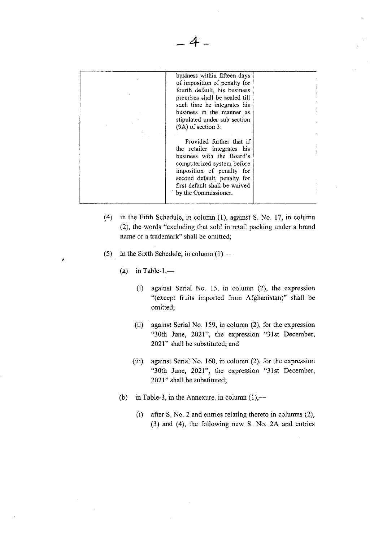| business within fifteen days<br>of imposition of penalty for<br>fourth default, his business<br>premises shall be sealed till<br>such time he integrates his<br>business in the manner as<br>stipulated under sub section<br>$(9A)$ of section 3: |  |
|---------------------------------------------------------------------------------------------------------------------------------------------------------------------------------------------------------------------------------------------------|--|
| Provided further that if<br>the retailer integrates his<br>business with the Board's<br>computerized system before<br>imposition of penalty for<br>second default, penalty for<br>first default shall be waived<br>by the Commissioner.           |  |

4

- (4) in the Fifth Schedule, in column (l), against S. No. 17, in column (2), the words "excluding that sold in retail packing under a brand name or a trademark" shall be omitted;
- (5) in the Sixth Schedule, in column  $(1)$ -
	- (a) in Table-1, $-$

í

- (i) against Serial No. 15, in column (2), the expression "(except fruits imported from Afghanistan)" shall be omitted;
- (ii) against Serial No. 159, in column (2), for the expression "30th June, 2021", the expression "31st December, 2021" shall be substituted; and
- (iii) against Serial No. 160, in column  $(2)$ , for the expression "30th June, 2021", ihe expression "31st December, 2021" shall be substituted;
- (b) in Table-3, in the Annexure, in column  $(1),-$ 
	- (i) after S. No. 2 and entries relating thereto in columns  $(2)$ , (3) and (4), the following new S. No. 2A and entnes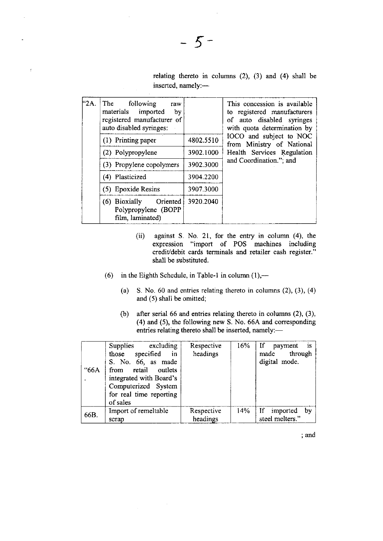relating thereto in columns (2), (3) and (4) shall be inserted, namely:-

| <sup>"2A.</sup> | The<br>following<br>raw<br>materials imported<br>by<br>registered manufacturer of<br>auto disabled syringes: |           | This concession is available<br>to registered manufacturers<br>of auto disabled syringes<br>with quota determination by |
|-----------------|--------------------------------------------------------------------------------------------------------------|-----------|-------------------------------------------------------------------------------------------------------------------------|
|                 | (1) Printing paper                                                                                           | 4802.5510 | IOCO and subject to NOC<br>from Ministry of National                                                                    |
|                 | (2) Polypropylene                                                                                            | 3902.1000 | Health Services Regulation                                                                                              |
|                 | (3) Propylene copolymers                                                                                     | 3902.3000 | and Coordination."; and                                                                                                 |
|                 | (4) Plasticized                                                                                              | 3904.2200 |                                                                                                                         |
|                 | (5) Epoxide Resins                                                                                           | 3907.3000 |                                                                                                                         |
|                 | Oriented<br>(6) Bioxially<br>Polypropylene (BOPP<br>film, laminated)                                         | 3920.2040 |                                                                                                                         |

- (ii) against S. No. 21, for the entry in column (4), the expression "import of POS machines including credit/debit cards terminals and retailer cash register." shall be substituted.
- (6) in the Eighth Schedule, in Table-1 in column  $(1)$ ,--
	- (a) S. No. 60 and entries relating thereto in columns  $(2)$ ,  $(3)$ ,  $(4)$ and (5) shall be omitted;
	- (b) after serial 66 and entries relating thereto in columns (2), (3), (4) and (5), the following new S. No.664 and corresponding entries relating thereto shall be inserted, namely:-

| "66A | Supplies excluding<br>those specified in<br>S. No. 66, as made<br>from retail outlets<br>integrated with Board's<br>Computerized System<br>for real time reporting<br>of sales | Respective<br>headings | 16% | If payment<br>$\overline{1}$ $\overline{1}$ $\overline{5}$<br>made through<br>digital mode. |
|------|--------------------------------------------------------------------------------------------------------------------------------------------------------------------------------|------------------------|-----|---------------------------------------------------------------------------------------------|
| 66B. | Import of remeltable<br>scrap                                                                                                                                                  | Respective<br>headings | 14% | $\mathbf{H}$<br>by<br>imported<br>steel melters."                                           |

 $\sim$ 

 $\hat{\mathcal{A}}$ 

and

 $\tilde{z}$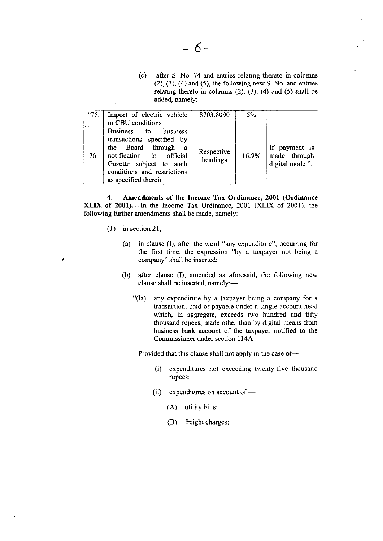(") after S. No. 74 and entries relating thereto in columns  $(2)$ ,  $(3)$ ,  $(4)$  and  $(5)$ , the following new S. No. and entries relating thereto in columns  $(2)$ ,  $(3)$ ,  $(4)$  and  $(5)$  shall be added, namely:-

| "75. | Import of electric vehicle<br>in CBU conditions                                                                                                                                                       | 8703.8090              | 5%    |                                                  |
|------|-------------------------------------------------------------------------------------------------------------------------------------------------------------------------------------------------------|------------------------|-------|--------------------------------------------------|
| 76.  | Business to business<br>transactions specified by<br>the Board through<br>$\mathbf{a}$<br>notification in official<br>Gazette subject to such<br>conditions and restrictions<br>as specified therein. | Respective<br>headings | 16.9% | If payment is<br>made through<br>digital mode.". |

4. Amendments of the Income Tax Ordinance, 2001 (Ordinance XLIX of 2001).---In the Income Tax Ordinance, 2001 (XLIX of 2001), the following further amendments shall be made, namely:-

- (1) in section  $21,$ 
	- (a) in clause  $(I)$ , after the word "any expenditure", occurring for the first time, the expression "by a taxpayer not being <sup>a</sup> company" shall be inserted;
	- (b) after clause (I), amended as aforesaid, the following new clause shall be inserted, namely:-
		- "(la) any expenditure by a taxpayer being a company for a transaction, paid or payable under a single account head which, in aggregate, exceeds two hundred and fifty thousand rupees, made other than by digital means fiom business bank account of the taxpayer notified to the Commissioner under section I l4A:

Provided that this clause shall not apply in the case of-

- (i) expenditures not exceeding twenty-five thousand rupees;
- (ii) expenditures on account of  $-$ 
	- (A) utility bills;
	- (B) freight charges;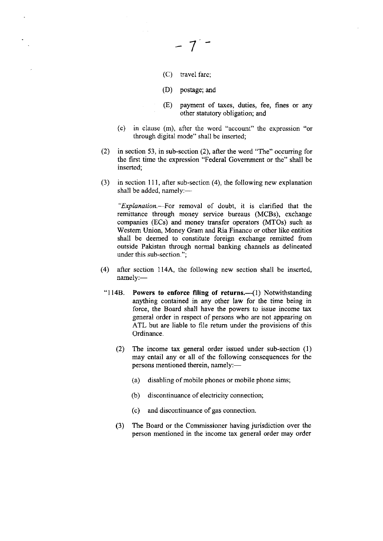(c) travel fare;

7

- (D) postage; and
- (E) payment of taxes, duties, fee, fines or any other statutory obligation; and
- (c) in clause (m), after the word "account" the expression "or through digital mode" shall be inserted;
- (2) in section 53, in sub-section (2), after the word "The" occurring for the first time the expression "Federal Govemment or the" shall be inserted;
- $(3)$  in section 111, after sub-section (4), the following new explanation shall be added, namely: $-$

"Explanation.-For removal of doubt, it is clarified that the remittance through money service bureaus (MCBs), exchange companies (ECs) and money transfer operators (MTOs) such as Westem Union, Money Gram and Ria Finance or other like entities shall be deemed to constitute foreign exchange remitted from outside Pakistan through normal banking channels as delineated under this sub-section.";

- (4) after section 1144, the following new section shall be inserted, namely:-
- "114B. Powers to enforce filing of returns.-(1) Notwithstanding anything contained in any other law for the time being in force, the Board shall have the powers to issue income tax general order in respect of persons who are not appearing on ATL but are liable to file retum under the provisions of this Ordinance.
	- (2) The income tax general order issued under sub-section (1) may entail any or all of the following consequences for the persons mentioned therein, namely:-
		- (a) disabling of mobile phones or mobile phone sims;
		- (b) discontinuance of electricily connection;
		- (c) and discontinuance of gas connection.
	- (3) The Board or the Commissioner having jurisdiction over the person mentioned in the income tax general order may order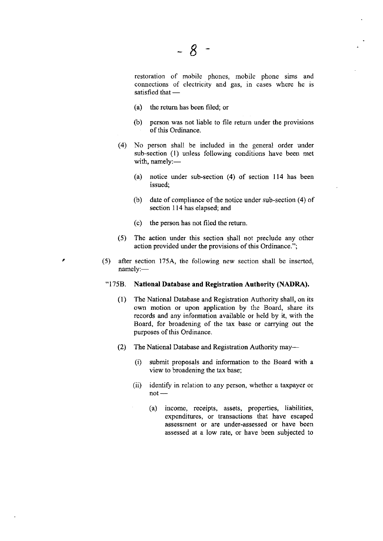restoration of mobile phones, mobile phone sims and connections of electricity and gas, in cases where he is satisfied that -

- (a) the retum has been filed; or
- (b) person was not liable to file retum under the provisions of this Ordinance.
- (4) No person shall be included in the general order under sub-section (l) unless following conditions have been met with, namely:-
	- (a) notice under sub-section (4) of section ll4 has been issued;
	- (b) date of compliance of the notice under sub-section  $(4)$  of section 114 has elapsed; and
	- (c) the person has not filed the return
- (5) The action under this section shall not preclude any other action provided under the provisions of this Ordinance.";
- (5) after section 1754, the following new section shall be inserted, namely:-

#### '1758. National Database and Registration Authority (NADRA).

- (1) The Narional Database and Registration Authority shall, on its own motion or upon application by the Board, share its records and any information available or held by it, with the Board, for broadening of the tax base or carrying out the purposes of this Ordinance.
- (2) The National Database and Registration Authonty may-
	- (i) submit proposals and information to the Board with a view to broadening the tax base;
	- (ii) identify in relation to any person, whether a taxpayer or not -
		- (a) income, receipts, assets, properties, Iiabilities, expenditures, or transactions that have escaped assessment or are under-assessed or have been assessed at a low rate, or have been subjected to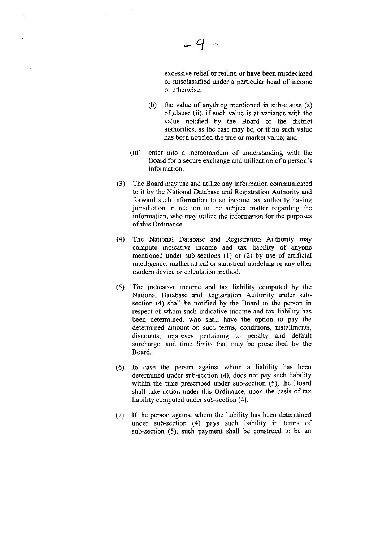excessive relief or refund or have been misdeclared or misclassified under a particular head of income or otherwise;

- (b) the value of anything mentioned in sub-clause (a) of clause (ii), if zuch value is at variance with the value notified by the Board or the district authorities, as the case may be, or if no such value has been notified the true or market value; and
- (iii) enter into a memorandum of understanding with the Board for a secure exchange and utilization of a person's information.
- (3) The Board may use and utilize any information communicated to it by the National Database and Registration Authority and forward such information to an income tax authority having jurisdiction in relation to the subject matter regarding the information, who may utilize the information for the purposes of this Ordinance.
- (4) The National Database and Registration Authonty may compute indicative income and tax liability of anyone mentioned under sub-sections (1) or (2) by use of artificial intelligence, mathematical or statistical modeling or any other modem device or calculation method.
- (5) The indicative income and tax liability computed by the National Database and Registration Authority under subsection (4) shall be notified by the Board to the person in respect of whom such indicative income and tax liability has been determined, who shall have the option to pay the determined amount on such terms, conditions, installments, discounts, reprieves pertaining to penalty and default surcharge, and time limits that may be prescribed by the Board.
- (6) In case the person against whom a liability has been determined under sub-section (4), does not pay such liability within the time prescribed under sub-section (5), the Board shall take action under this Ordinance, upon the basis of tax liability compured under sub-section (4).
- (7) If the person against whom the Iiability has been determined under sub-section (4) pays such liability in terms of sub-section (5), such payment shall be construed to be an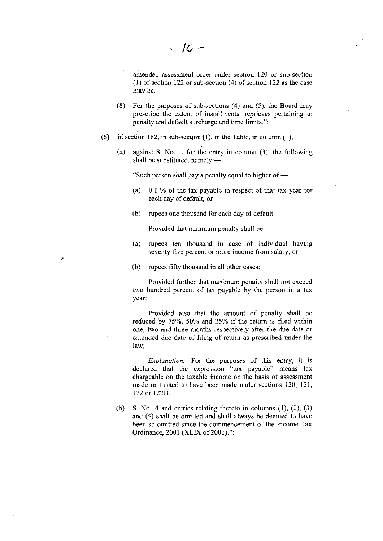amended assessment order under section 120 or sub-section  $(1)$  of section 122 or sub-section  $(4)$  of section 122 as the case may be.

- (8) For the purposes of sub-sections (4) and (5), the Board may prescribe the extent of installments, reprieves pertaining to penalty and default surcharge and time limits.";
- (6) in section 182, in sub-section (1), in the Table, in column (1),
	- (a) against S. No. l, for the entry in column (3), the following shall be substituted, namely:-

"Such person shall pay a penalty equal to higher of  $-$ 

- (a) 0.1 % of the tax payable in respect of that tax year for each day of default; or
- (b) rupees one thousand for each day of default:

Provided that minimum penalty shall be-

- (a) rupees ten thousand in case of individual having seventy-five percent or more income from salary; or
- (b) rupees fifty thousand in all other cases:

Provided further that maximum penalty shall not exceed two hundred percent of tax payable by the person in a tax year:

Provided also that the amount of penalty shall be reduced by  $75\%$ ,  $50\%$  and  $25\%$  if the return is filed within one, two and three months respectively after the due date or extended due date of filing of return as prescribed under the law;

Explanation.- For the purposes of this entry, it is declared that the expression "tax payable" means tax chargeable on the taxable income on the basis of assessment made or treated to have been made under sections 120, 121, 122 or 122D.

(b) S. No.14 and entries relating thereto in columns  $(1)$ ,  $(2)$ ,  $(3)$ and (4) shall be omitted and shall always be deemed to have been so omitted since the commencement of the Income Tax Ordinance, 2001 (XLIX of 2001).";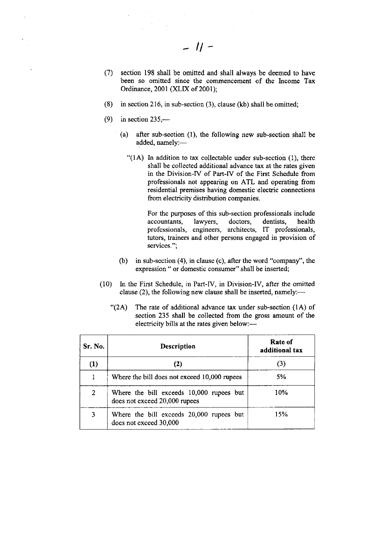- (7) section 198 shall be omitted and shall always be deemed to have been so omitted since the commencement of the Income Tax Ordinance, 2001 (XLIX of 2001);
- (8) in section 216, in sub-section (3), clause (kb) shall be omitted;
- $(9)$  in section 235,—
	- (a) after sub-section (l), the following new sub-section shall be added, namely:-
		- " $(1A)$  In addition to tax collectable under sub-section  $(1)$ , there shall be collected additional advance tax at the rates given in the Division-IV of Part-tV of the First Schedule from professionals not appearing on ATL and operating from residential premises having domestic electric connections from electricity distribution companies.

For the purposes of this sub-section professionals include accountants, lawyers, doctors, dentists, health professionals, engineers, architects, IT professionals, tutors, trainers and other persons engaged in provision of services.";

- (b) in sub-section (4), in clause (c), after the word "company'', the expression " or domestic consumer" shall be inserted;
- (10) In the First Schedule, in Part-IV, in Division-lV, after the omitted clause (2), the following new clause shall be inserted, namely:—
	- '(2A) The rate of additional advance tax under sub-section (lA) of section 235 shall be collected from the gross amount of the electricity bills at the rates given below:-

| Sr. No. | <b>Description</b>                                                        | Rate of<br>additional tax |
|---------|---------------------------------------------------------------------------|---------------------------|
| (1)     | (2)                                                                       | (3)                       |
|         | Where the bill does not exceed 10,000 rupees                              | 5%                        |
| 2       | Where the bill exceeds 10,000 rupees but<br>does not exceed 20,000 rupees | 10%                       |
| 3       | Where the bill exceeds 20,000 rupees but<br>does not exceed 30,000        | 15%                       |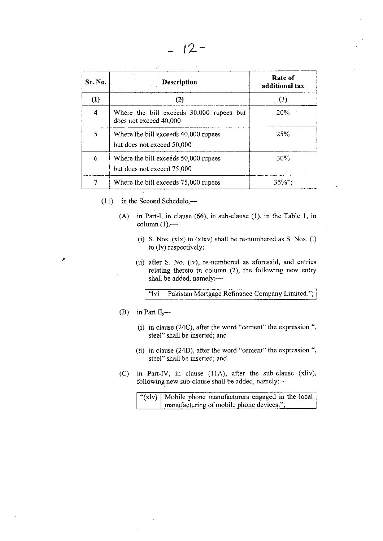| Sr. No.        | Description                                                        | Rate of<br>additional tax |
|----------------|--------------------------------------------------------------------|---------------------------|
| (1)            | (2)                                                                | (3)                       |
| $\overline{4}$ | Where the bill exceeds 30,000 rupees but<br>does not exceed 40,000 | 20%                       |
| 5              | Where the bill exceeds 40,000 rupees<br>but does not exceed 50,000 | 25%                       |
| 6              | Where the bill exceeds 50,000 rupees<br>but does not exceed 75,000 | 30%                       |
| 7              | Where the bill exceeds 75,000 rupees                               | $35\%$ ";                 |

- $(11)$  in the Second Schedule,—
	- (A) in Part-I, in clause (66), in sub-clause (1), in the Table l, in  $column (1)$ , $-$ 
		- (i) S. Nos. (xlx) to (xlxv) shall be re-numbered as S. Nos. (l) to (lv) respectively;
		- (ii) after S. No. (lv), re-numbered as aforesaid, and entries relating thereto in column (2), the following new entry shall be added, namely:-

Pakistan Mortgage Refinance Company Limited."; "lvi

(B) in Part II,—

- (i) in clause (24C), after the word "cement" the expression ", steel" shall be inserted; and
- (ii) in clause (24D), after the word "cement" the expression ", steel" shalI be inserted; and
- (C) in Part-IV, in clause (11A), after the sub-clause (xliv), following new sub-clause shall be added, namely: -

| " $(x v)$ Mobile phone manufacturers engaged in the local |
|-----------------------------------------------------------|
| manufacturing of mobile phone devices.";                  |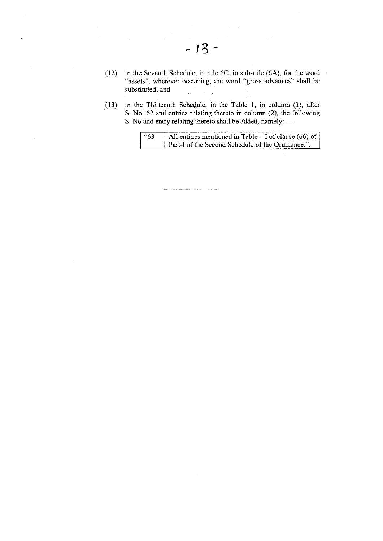- (12) in the Seventh Schedule, in nrle 6C, in sub-rule (6A), for the word "assets", wherever occurring, the word "gross advances" shall be substituted; and
- (11) in the Thiteenth Schedule, in the Table 1, in column (1), after S. No. 62 and entries relating thereto in column (2), the following S. No and entry relating thereto shall be added, namely: -

| 63 | All entities mentioned in Table – I of clause (66) of |
|----|-------------------------------------------------------|
|    | Part-I of the Second Schedule of the Ordinance.".     |